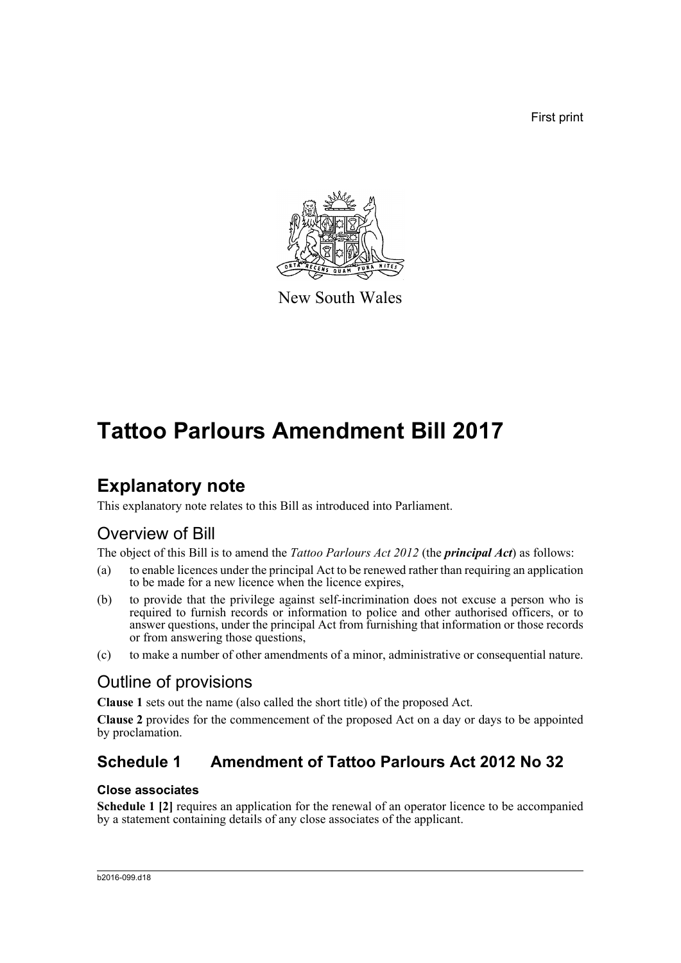First print



New South Wales

# **Tattoo Parlours Amendment Bill 2017**

## **Explanatory note**

This explanatory note relates to this Bill as introduced into Parliament.

### Overview of Bill

The object of this Bill is to amend the *Tattoo Parlours Act 2012* (the *principal Act*) as follows:

- (a) to enable licences under the principal Act to be renewed rather than requiring an application to be made for a new licence when the licence expires,
- (b) to provide that the privilege against self-incrimination does not excuse a person who is required to furnish records or information to police and other authorised officers, or to answer questions, under the principal Act from furnishing that information or those records or from answering those questions,
- (c) to make a number of other amendments of a minor, administrative or consequential nature.

## Outline of provisions

**Clause 1** sets out the name (also called the short title) of the proposed Act.

**Clause 2** provides for the commencement of the proposed Act on a day or days to be appointed by proclamation.

### **Schedule 1 Amendment of Tattoo Parlours Act 2012 No 32**

#### **Close associates**

**Schedule 1 [2]** requires an application for the renewal of an operator licence to be accompanied by a statement containing details of any close associates of the applicant.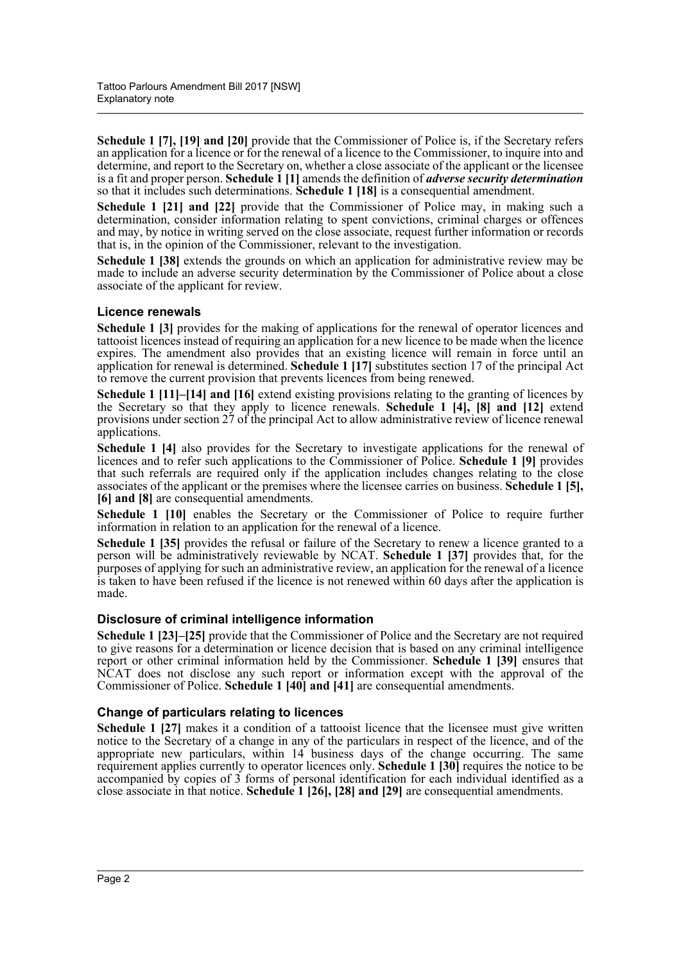**Schedule 1 [7], [19] and [20]** provide that the Commissioner of Police is, if the Secretary refers an application for a licence or for the renewal of a licence to the Commissioner, to inquire into and determine, and report to the Secretary on, whether a close associate of the applicant or the licensee is a fit and proper person. **Schedule 1 [1]** amends the definition of *adverse security determination* so that it includes such determinations. **Schedule 1 [18]** is a consequential amendment.

**Schedule 1 [21] and [22]** provide that the Commissioner of Police may, in making such a determination, consider information relating to spent convictions, criminal charges or offences and may, by notice in writing served on the close associate, request further information or records that is, in the opinion of the Commissioner, relevant to the investigation.

**Schedule 1 [38]** extends the grounds on which an application for administrative review may be made to include an adverse security determination by the Commissioner of Police about a close associate of the applicant for review.

#### **Licence renewals**

**Schedule 1 [3]** provides for the making of applications for the renewal of operator licences and tattooist licences instead of requiring an application for a new licence to be made when the licence expires. The amendment also provides that an existing licence will remain in force until an application for renewal is determined. **Schedule 1 [17]** substitutes section 17 of the principal Act to remove the current provision that prevents licences from being renewed.

**Schedule 1 [11]–[14] and [16]** extend existing provisions relating to the granting of licences by the Secretary so that they apply to licence renewals. **Schedule 1 [4], [8] and [12]** extend provisions under section 27 of the principal Act to allow administrative review of licence renewal applications.

**Schedule 1 [4]** also provides for the Secretary to investigate applications for the renewal of licences and to refer such applications to the Commissioner of Police. **Schedule 1 [9]** provides that such referrals are required only if the application includes changes relating to the close associates of the applicant or the premises where the licensee carries on business. **Schedule 1 [5], [6] and [8]** are consequential amendments.

**Schedule 1 [10]** enables the Secretary or the Commissioner of Police to require further information in relation to an application for the renewal of a licence.

Schedule 1 [35] provides the refusal or failure of the Secretary to renew a licence granted to a person will be administratively reviewable by NCAT. **Schedule 1 [37]** provides that, for the purposes of applying for such an administrative review, an application for the renewal of a licence is taken to have been refused if the licence is not renewed within 60 days after the application is made.

#### **Disclosure of criminal intelligence information**

**Schedule 1 [23]–[25]** provide that the Commissioner of Police and the Secretary are not required to give reasons for a determination or licence decision that is based on any criminal intelligence report or other criminal information held by the Commissioner. **Schedule 1 [39]** ensures that NCAT does not disclose any such report or information except with the approval of the Commissioner of Police. **Schedule 1 [40] and [41]** are consequential amendments.

#### **Change of particulars relating to licences**

**Schedule 1 [27]** makes it a condition of a tattooist licence that the licensee must give written notice to the Secretary of a change in any of the particulars in respect of the licence, and of the appropriate new particulars, within 14 business days of the change occurring. The same requirement applies currently to operator licences only. **Schedule 1 [30]** requires the notice to be accompanied by copies of 3 forms of personal identification for each individual identified as a close associate in that notice. **Schedule 1 [26], [28] and [29]** are consequential amendments.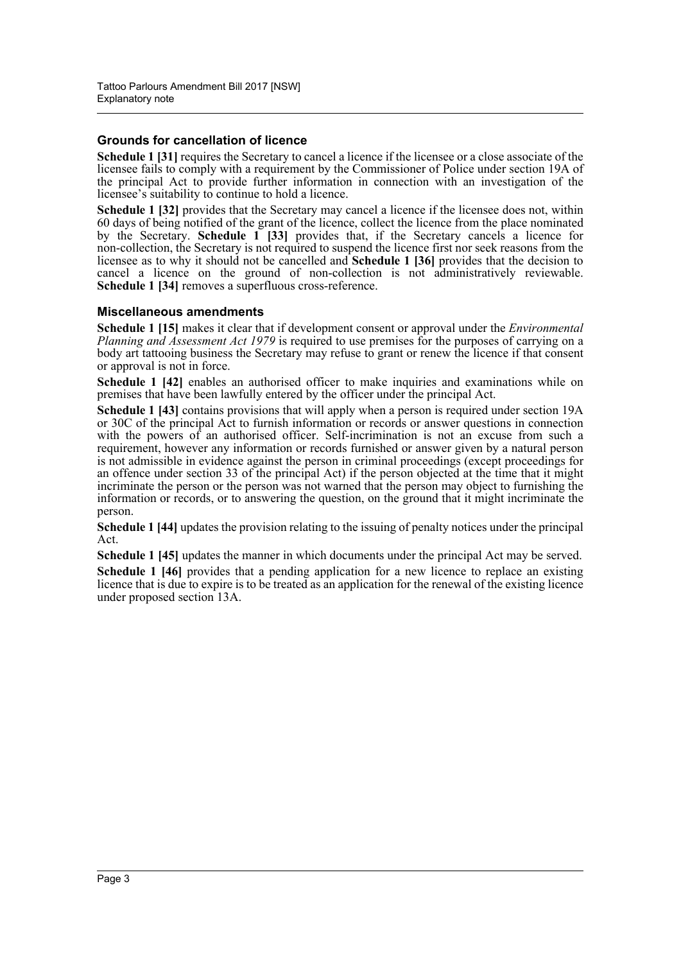#### **Grounds for cancellation of licence**

**Schedule 1 [31]** requires the Secretary to cancel a licence if the licensee or a close associate of the licensee fails to comply with a requirement by the Commissioner of Police under section 19A of the principal Act to provide further information in connection with an investigation of the licensee's suitability to continue to hold a licence.

**Schedule 1 [32]** provides that the Secretary may cancel a licence if the licensee does not, within 60 days of being notified of the grant of the licence, collect the licence from the place nominated by the Secretary. **Schedule 1 [33]** provides that, if the Secretary cancels a licence for non-collection, the Secretary is not required to suspend the licence first nor seek reasons from the licensee as to why it should not be cancelled and **Schedule 1 [36]** provides that the decision to cancel a licence on the ground of non-collection is not administratively reviewable. **Schedule 1 [34]** removes a superfluous cross-reference.

#### **Miscellaneous amendments**

**Schedule 1 [15]** makes it clear that if development consent or approval under the *Environmental Planning and Assessment Act 1979* is required to use premises for the purposes of carrying on a body art tattooing business the Secretary may refuse to grant or renew the licence if that consent or approval is not in force.

Schedule 1 [42] enables an authorised officer to make inquiries and examinations while on premises that have been lawfully entered by the officer under the principal Act.

**Schedule 1 [43]** contains provisions that will apply when a person is required under section 19A or 30C of the principal Act to furnish information or records or answer questions in connection with the powers of an authorised officer. Self-incrimination is not an excuse from such a requirement, however any information or records furnished or answer given by a natural person is not admissible in evidence against the person in criminal proceedings (except proceedings for an offence under section 33 of the principal Act) if the person objected at the time that it might incriminate the person or the person was not warned that the person may object to furnishing the information or records, or to answering the question, on the ground that it might incriminate the person.

**Schedule 1 [44]** updates the provision relating to the issuing of penalty notices under the principal Act.

**Schedule 1 [45]** updates the manner in which documents under the principal Act may be served. **Schedule 1 [46]** provides that a pending application for a new licence to replace an existing licence that is due to expire is to be treated as an application for the renewal of the existing licence under proposed section 13A.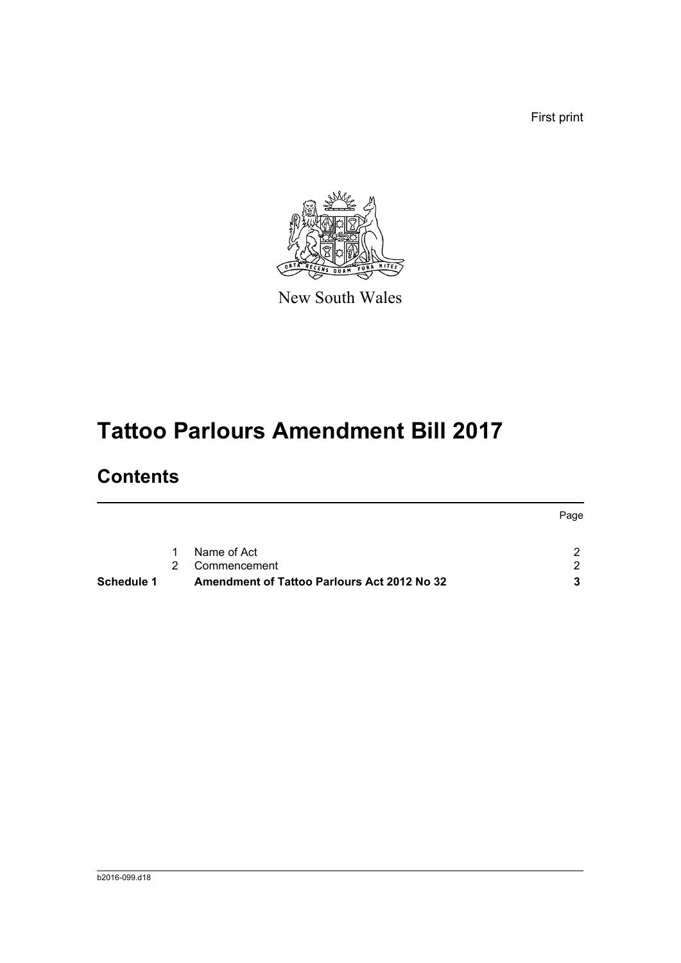First print



New South Wales

# **Tattoo Parlours Amendment Bill 2017**

## **Contents**

|            |               |                                                    | Page |
|------------|---------------|----------------------------------------------------|------|
|            |               |                                                    |      |
|            | $1 \quad$     | Name of Act                                        |      |
|            | $\mathcal{P}$ | Commencement                                       |      |
| Schedule 1 |               | <b>Amendment of Tattoo Parlours Act 2012 No 32</b> | 3    |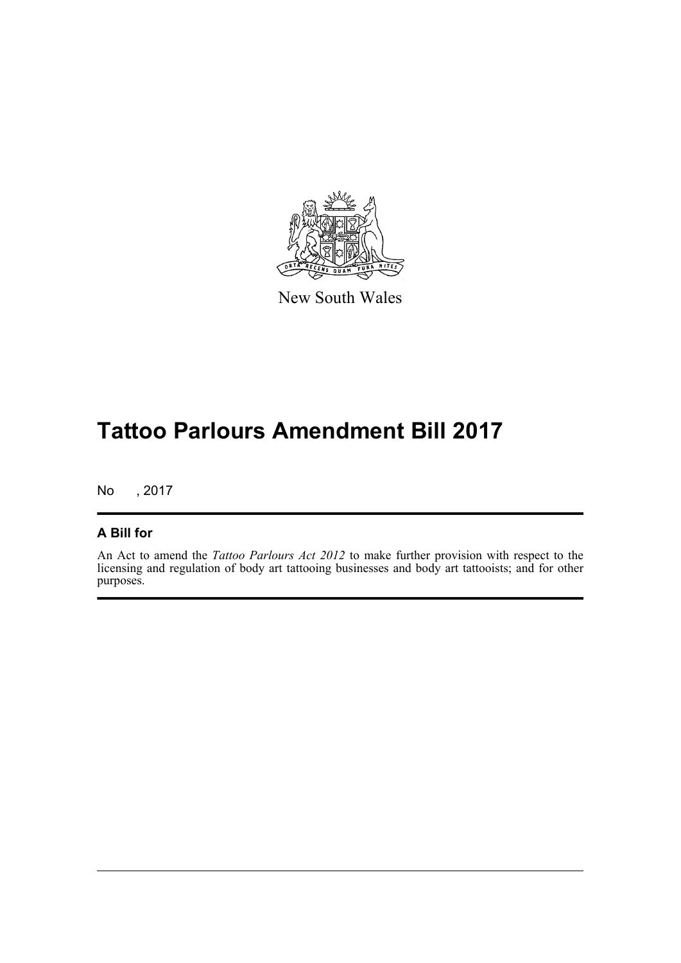

New South Wales

# **Tattoo Parlours Amendment Bill 2017**

No , 2017

#### **A Bill for**

An Act to amend the *Tattoo Parlours Act 2012* to make further provision with respect to the licensing and regulation of body art tattooing businesses and body art tattooists; and for other purposes.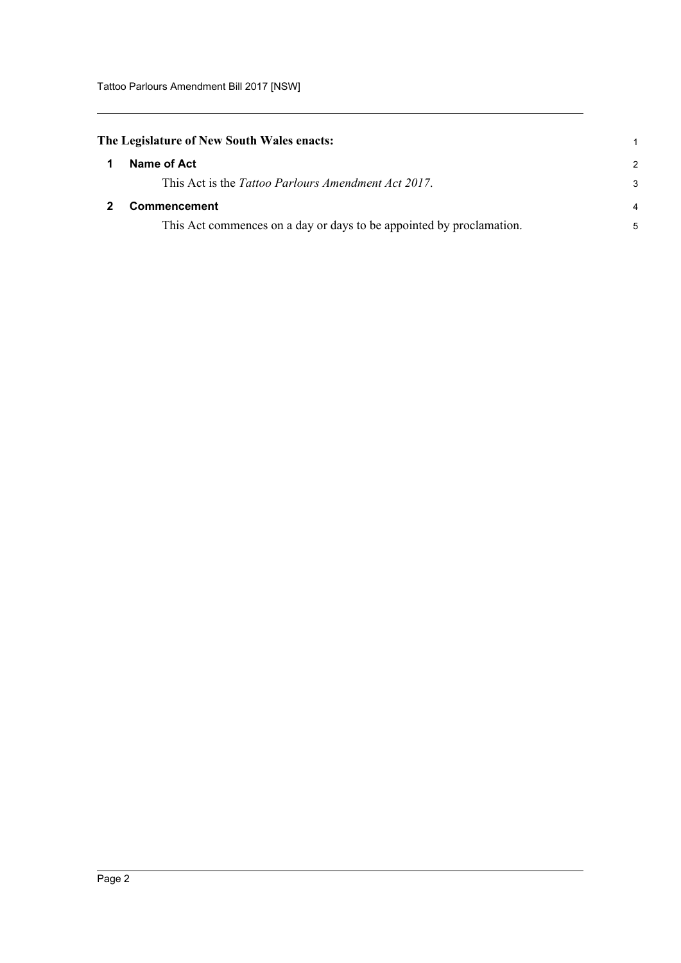<span id="page-5-0"></span>

|  |  | The Legislature of New South Wales enacts: |  |  |  |  |
|--|--|--------------------------------------------|--|--|--|--|
|--|--|--------------------------------------------|--|--|--|--|

<span id="page-5-1"></span>

| Name of Act                                                          | $\mathcal{P}$  |
|----------------------------------------------------------------------|----------------|
| This Act is the Tattoo Parlours Amendment Act 2017.                  | 3              |
| <b>Commencement</b>                                                  | $\overline{4}$ |
| This Act commences on a day or days to be appointed by proclamation. | 5              |

1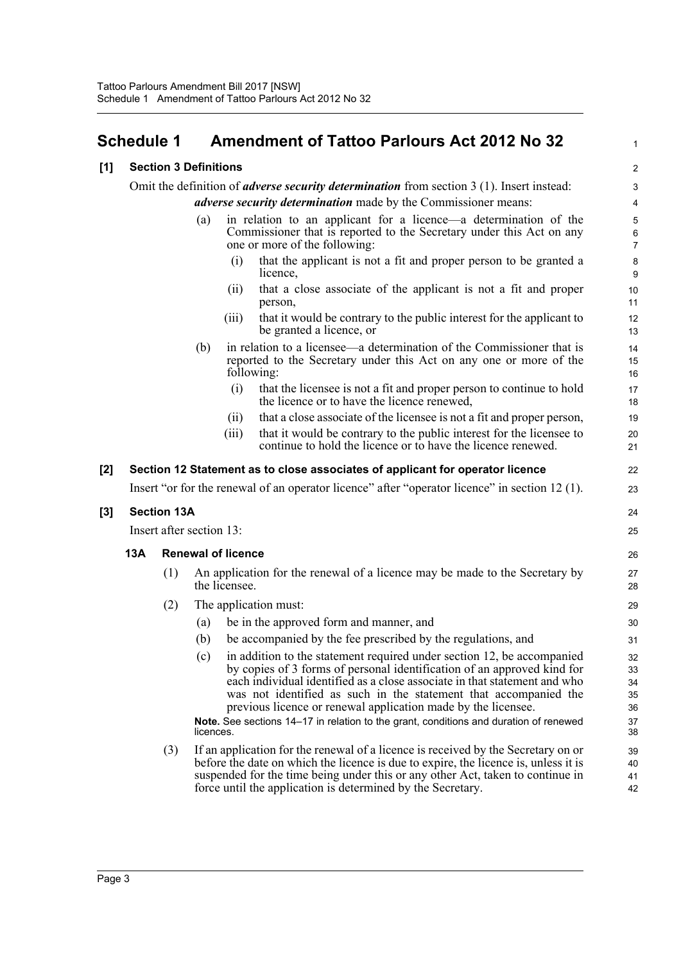### <span id="page-6-0"></span>**Schedule 1 Amendment of Tattoo Parlours Act 2012 No 32**

#### **[1] Section 3 Definitions**

Omit the definition of *adverse security determination* from section 3 (1). Insert instead: *adverse security determination* made by the Commissioner means:

- (a) in relation to an applicant for a licence—a determination of the Commissioner that is reported to the Secretary under this Act on any one or more of the following:
	- (i) that the applicant is not a fit and proper person to be granted a licence,

1

 $24$ 25

- (ii) that a close associate of the applicant is not a fit and proper person,
- (iii) that it would be contrary to the public interest for the applicant to be granted a licence, or
- (b) in relation to a licensee—a determination of the Commissioner that is reported to the Secretary under this Act on any one or more of the following:
	- (i) that the licensee is not a fit and proper person to continue to hold the licence or to have the licence renewed,
	- (ii) that a close associate of the licensee is not a fit and proper person,
	- (iii) that it would be contrary to the public interest for the licensee to
		- continue to hold the licence or to have the licence renewed.

#### **[2] Section 12 Statement as to close associates of applicant for operator licence**

Insert "or for the renewal of an operator licence" after "operator licence" in section 12 (1).

#### **[3] Section 13A**

Insert after section 13:

#### **13A Renewal of licence**

- (1) An application for the renewal of a licence may be made to the Secretary by the licensee.
- (2) The application must:
	- (a) be in the approved form and manner, and
	- (b) be accompanied by the fee prescribed by the regulations, and
	- (c) in addition to the statement required under section 12, be accompanied by copies of 3 forms of personal identification of an approved kind for each individual identified as a close associate in that statement and who was not identified as such in the statement that accompanied the previous licence or renewal application made by the licensee.

**Note.** See sections 14–17 in relation to the grant, conditions and duration of renewed licences.

(3) If an application for the renewal of a licence is received by the Secretary on or before the date on which the licence is due to expire, the licence is, unless it is suspended for the time being under this or any other Act, taken to continue in force until the application is determined by the Secretary.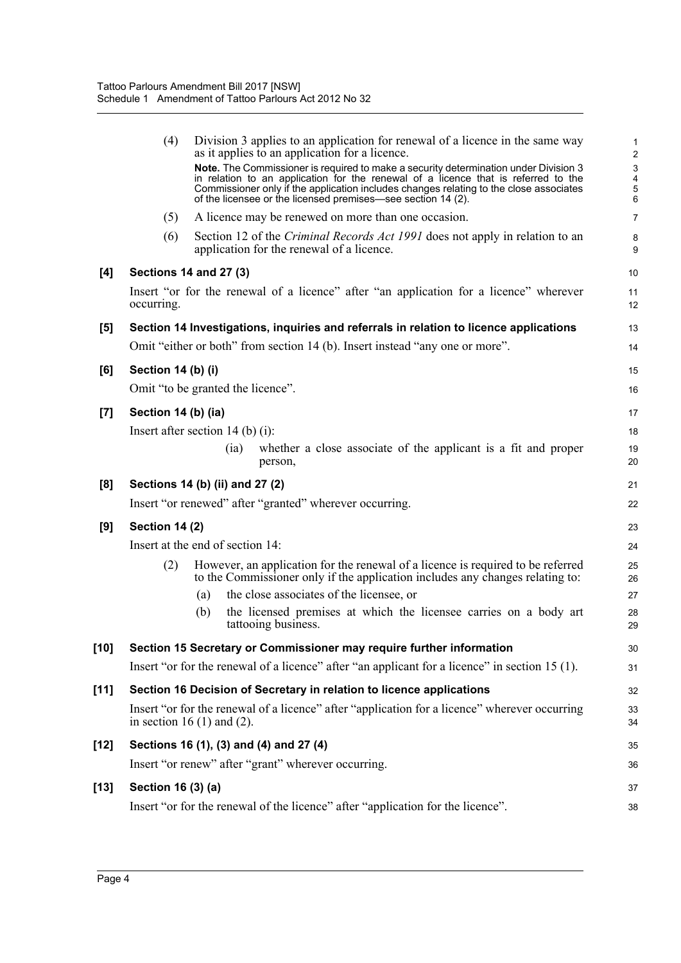|        | (4)                   | Division 3 applies to an application for renewal of a licence in the same way<br>as it applies to an application for a licence.<br>Note. The Commissioner is required to make a security determination under Division 3<br>in relation to an application for the renewal of a licence that is referred to the<br>Commissioner only if the application includes changes relating to the close associates<br>of the licensee or the licensed premises—see section 14 (2). | $\mathbf{1}$<br>$\overline{\mathbf{c}}$<br>3<br>$\frac{4}{5}$<br>6 |
|--------|-----------------------|-------------------------------------------------------------------------------------------------------------------------------------------------------------------------------------------------------------------------------------------------------------------------------------------------------------------------------------------------------------------------------------------------------------------------------------------------------------------------|--------------------------------------------------------------------|
|        | (5)                   | A licence may be renewed on more than one occasion.                                                                                                                                                                                                                                                                                                                                                                                                                     | $\overline{7}$                                                     |
|        | (6)                   | Section 12 of the <i>Criminal Records Act 1991</i> does not apply in relation to an<br>application for the renewal of a licence.                                                                                                                                                                                                                                                                                                                                        | 8<br>9                                                             |
| [4]    |                       | <b>Sections 14 and 27 (3)</b>                                                                                                                                                                                                                                                                                                                                                                                                                                           | 10                                                                 |
|        | occurring.            | Insert "or for the renewal of a licence" after "an application for a licence" wherever                                                                                                                                                                                                                                                                                                                                                                                  | 11<br>12                                                           |
| [5]    |                       | Section 14 Investigations, inquiries and referrals in relation to licence applications                                                                                                                                                                                                                                                                                                                                                                                  | 13                                                                 |
|        |                       | Omit "either or both" from section 14 (b). Insert instead "any one or more".                                                                                                                                                                                                                                                                                                                                                                                            | 14                                                                 |
| [6]    | Section 14 (b) (i)    |                                                                                                                                                                                                                                                                                                                                                                                                                                                                         | 15                                                                 |
|        |                       | Omit "to be granted the licence".                                                                                                                                                                                                                                                                                                                                                                                                                                       | 16                                                                 |
| $[7]$  | Section 14 (b) (ia)   |                                                                                                                                                                                                                                                                                                                                                                                                                                                                         | 17                                                                 |
|        |                       | Insert after section 14 (b) (i):                                                                                                                                                                                                                                                                                                                                                                                                                                        | 18                                                                 |
|        |                       | whether a close associate of the applicant is a fit and proper<br>(i)<br>person,                                                                                                                                                                                                                                                                                                                                                                                        | 19<br>20                                                           |
| [8]    |                       | Sections 14 (b) (ii) and 27 (2)                                                                                                                                                                                                                                                                                                                                                                                                                                         | 21                                                                 |
|        |                       | Insert "or renewed" after "granted" wherever occurring.                                                                                                                                                                                                                                                                                                                                                                                                                 | 22                                                                 |
| [9]    | <b>Section 14 (2)</b> |                                                                                                                                                                                                                                                                                                                                                                                                                                                                         | 23                                                                 |
|        |                       | Insert at the end of section 14:                                                                                                                                                                                                                                                                                                                                                                                                                                        | 24                                                                 |
|        | (2)                   | However, an application for the renewal of a licence is required to be referred<br>to the Commissioner only if the application includes any changes relating to:                                                                                                                                                                                                                                                                                                        | 25<br>26                                                           |
|        |                       | the close associates of the licensee, or<br>(a)                                                                                                                                                                                                                                                                                                                                                                                                                         | 27                                                                 |
|        |                       | the licensed premises at which the licensee carries on a body art<br>(b)<br>tattooing business.                                                                                                                                                                                                                                                                                                                                                                         | 28<br>29                                                           |
| $[10]$ |                       | Section 15 Secretary or Commissioner may require further information                                                                                                                                                                                                                                                                                                                                                                                                    | 30                                                                 |
|        |                       | Insert "or for the renewal of a licence" after "an applicant for a licence" in section 15 (1).                                                                                                                                                                                                                                                                                                                                                                          | 31                                                                 |
| $[11]$ |                       | Section 16 Decision of Secretary in relation to licence applications                                                                                                                                                                                                                                                                                                                                                                                                    | 32                                                                 |
|        |                       | Insert "or for the renewal of a licence" after "application for a licence" wherever occurring<br>in section 16 $(1)$ and $(2)$ .                                                                                                                                                                                                                                                                                                                                        | 33<br>34                                                           |
| $[12]$ |                       | Sections 16 (1), (3) and (4) and 27 (4)                                                                                                                                                                                                                                                                                                                                                                                                                                 | 35                                                                 |
|        |                       | Insert "or renew" after "grant" wherever occurring.                                                                                                                                                                                                                                                                                                                                                                                                                     | 36                                                                 |
| $[13]$ | Section 16 (3) (a)    |                                                                                                                                                                                                                                                                                                                                                                                                                                                                         | 37                                                                 |
|        |                       | Insert "or for the renewal of the licence" after "application for the licence".                                                                                                                                                                                                                                                                                                                                                                                         | 38                                                                 |
|        |                       |                                                                                                                                                                                                                                                                                                                                                                                                                                                                         |                                                                    |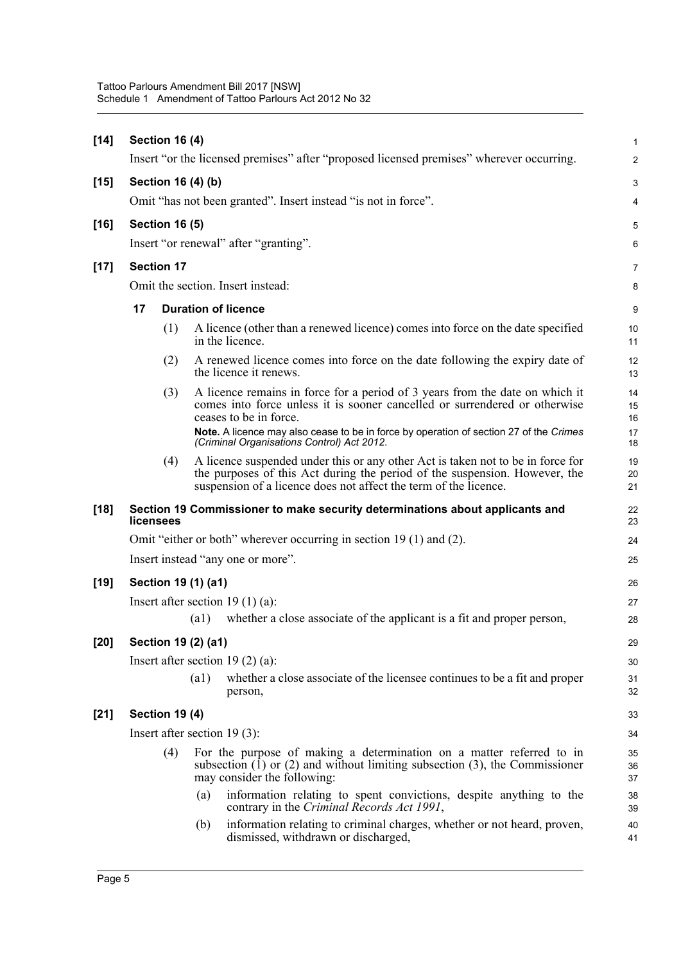| $[14]$ | <b>Section 16 (4)</b>          |                            |                                                                                                                                                                                                                                   | $\mathbf{1}$   |
|--------|--------------------------------|----------------------------|-----------------------------------------------------------------------------------------------------------------------------------------------------------------------------------------------------------------------------------|----------------|
|        |                                |                            | Insert "or the licensed premises" after "proposed licensed premises" wherever occurring.                                                                                                                                          | $\overline{c}$ |
| $[15]$ | Section 16 (4) (b)             |                            |                                                                                                                                                                                                                                   | 3              |
|        |                                |                            | Omit "has not been granted". Insert instead "is not in force".                                                                                                                                                                    | 4              |
| $[16]$ | <b>Section 16 (5)</b>          |                            |                                                                                                                                                                                                                                   | 5              |
|        |                                |                            | Insert "or renewal" after "granting".                                                                                                                                                                                             | 6              |
| $[17]$ | <b>Section 17</b>              |                            |                                                                                                                                                                                                                                   | 7              |
|        |                                |                            | Omit the section. Insert instead:                                                                                                                                                                                                 | 8              |
|        | 17                             |                            | <b>Duration of licence</b>                                                                                                                                                                                                        | 9              |
|        | (1)                            |                            | A licence (other than a renewed licence) comes into force on the date specified<br>in the licence.                                                                                                                                | 10<br>11       |
|        | (2)                            |                            | A renewed licence comes into force on the date following the expiry date of<br>the licence it renews.                                                                                                                             | 12<br>13       |
|        | (3)                            |                            | A licence remains in force for a period of 3 years from the date on which it<br>comes into force unless it is sooner cancelled or surrendered or otherwise<br>ceases to be in force.                                              | 14<br>15<br>16 |
|        |                                |                            | Note. A licence may also cease to be in force by operation of section 27 of the Crimes<br>(Criminal Organisations Control) Act 2012.                                                                                              | 17<br>18       |
|        | (4)                            |                            | A licence suspended under this or any other Act is taken not to be in force for<br>the purposes of this Act during the period of the suspension. However, the<br>suspension of a licence does not affect the term of the licence. | 19<br>20<br>21 |
| $[18]$ | licensees                      |                            | Section 19 Commissioner to make security determinations about applicants and                                                                                                                                                      | 22<br>23       |
|        |                                |                            | Omit "either or both" wherever occurring in section 19 (1) and (2).                                                                                                                                                               | 24             |
|        |                                |                            | Insert instead "any one or more".                                                                                                                                                                                                 | 25             |
| $[19]$ | Section 19 (1) (a1)            |                            |                                                                                                                                                                                                                                   | 26             |
|        |                                |                            | Insert after section 19 $(1)$ (a):                                                                                                                                                                                                | 27             |
|        |                                | $\left( \text{al} \right)$ | whether a close associate of the applicant is a fit and proper person,                                                                                                                                                            | 28             |
| [20]   | Section 19 (2) (a1)            |                            |                                                                                                                                                                                                                                   | 29             |
|        |                                |                            | Insert after section 19 $(2)$ $(a)$ :                                                                                                                                                                                             | 30             |
|        |                                | (a1)                       | whether a close associate of the licensee continues to be a fit and proper<br>person,                                                                                                                                             | 31<br>32       |
| $[21]$ | <b>Section 19 (4)</b>          |                            |                                                                                                                                                                                                                                   | 33             |
|        | Insert after section $19(3)$ : |                            |                                                                                                                                                                                                                                   |                |
|        | (4)                            |                            | For the purpose of making a determination on a matter referred to in<br>subsection $(1)$ or $(2)$ and without limiting subsection $(3)$ , the Commissioner<br>may consider the following:                                         | 35<br>36<br>37 |
|        |                                | (a)                        | information relating to spent convictions, despite anything to the<br>contrary in the Criminal Records Act 1991,                                                                                                                  | 38<br>39       |
|        |                                | (b)                        | information relating to criminal charges, whether or not heard, proven,<br>dismissed, withdrawn or discharged,                                                                                                                    | 40<br>41       |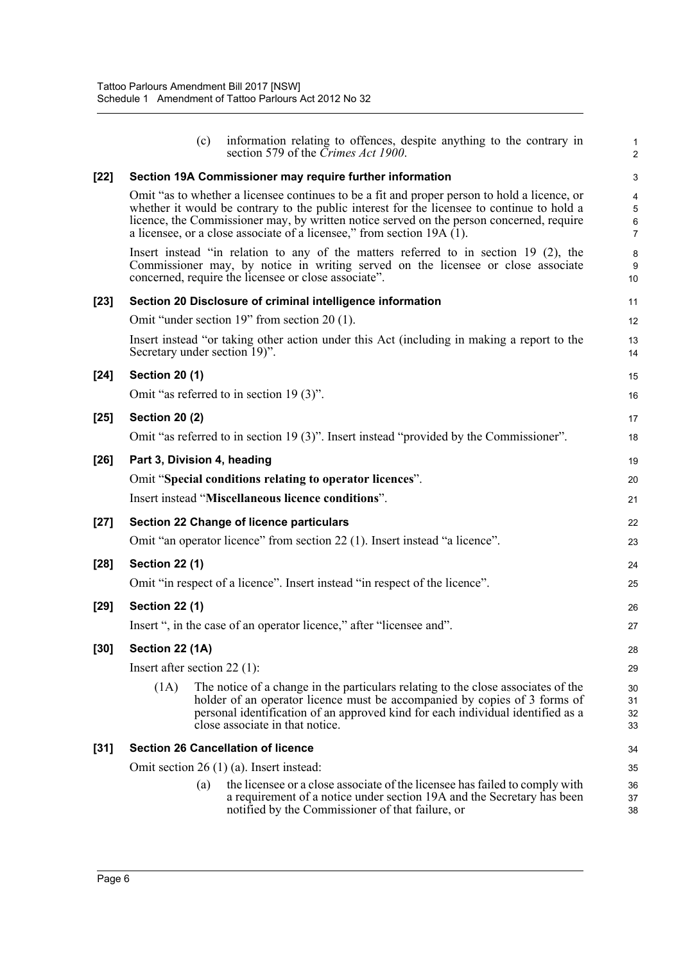|        | (c)                             | information relating to offences, despite anything to the contrary in<br>section 579 of the <i>Crimes Act 1900</i> .                                                                                                                                                                                                                                               | $\mathbf{1}$<br>2                                |
|--------|---------------------------------|--------------------------------------------------------------------------------------------------------------------------------------------------------------------------------------------------------------------------------------------------------------------------------------------------------------------------------------------------------------------|--------------------------------------------------|
| $[22]$ |                                 | Section 19A Commissioner may require further information                                                                                                                                                                                                                                                                                                           | 3                                                |
|        |                                 | Omit "as to whether a licensee continues to be a fit and proper person to hold a licence, or<br>whether it would be contrary to the public interest for the licensee to continue to hold a<br>licence, the Commissioner may, by written notice served on the person concerned, require<br>a licensee, or a close associate of a licensee," from section $19A(1)$ . | 4<br>$\overline{5}$<br>$\,6\,$<br>$\overline{7}$ |
|        |                                 | Insert instead "in relation to any of the matters referred to in section 19 (2), the<br>Commissioner may, by notice in writing served on the licensee or close associate<br>concerned, require the licensee or close associate".                                                                                                                                   | 8<br>9<br>10                                     |
| $[23]$ |                                 | Section 20 Disclosure of criminal intelligence information                                                                                                                                                                                                                                                                                                         | 11                                               |
|        |                                 | Omit "under section 19" from section 20 (1).                                                                                                                                                                                                                                                                                                                       | 12                                               |
|        | Secretary under section 19)".   | Insert instead "or taking other action under this Act (including in making a report to the                                                                                                                                                                                                                                                                         | 13<br>14                                         |
| $[24]$ | <b>Section 20 (1)</b>           |                                                                                                                                                                                                                                                                                                                                                                    | 15                                               |
|        |                                 | Omit "as referred to in section 19 (3)".                                                                                                                                                                                                                                                                                                                           | 16                                               |
| $[25]$ | <b>Section 20 (2)</b>           |                                                                                                                                                                                                                                                                                                                                                                    | 17                                               |
|        |                                 | Omit "as referred to in section 19 (3)". Insert instead "provided by the Commissioner".                                                                                                                                                                                                                                                                            | 18                                               |
| $[26]$ | Part 3, Division 4, heading     |                                                                                                                                                                                                                                                                                                                                                                    | 19                                               |
|        |                                 | Omit "Special conditions relating to operator licences".                                                                                                                                                                                                                                                                                                           | 20                                               |
|        |                                 | Insert instead "Miscellaneous licence conditions".                                                                                                                                                                                                                                                                                                                 | 21                                               |
| $[27]$ |                                 | <b>Section 22 Change of licence particulars</b>                                                                                                                                                                                                                                                                                                                    | 22                                               |
|        |                                 | Omit "an operator licence" from section 22 (1). Insert instead "a licence".                                                                                                                                                                                                                                                                                        | 23                                               |
| $[28]$ | <b>Section 22 (1)</b>           |                                                                                                                                                                                                                                                                                                                                                                    | 24                                               |
|        |                                 | Omit "in respect of a licence". Insert instead "in respect of the licence".                                                                                                                                                                                                                                                                                        | 25                                               |
| $[29]$ | <b>Section 22 (1)</b>           |                                                                                                                                                                                                                                                                                                                                                                    | 26                                               |
|        |                                 | Insert ", in the case of an operator licence," after "licensee and".                                                                                                                                                                                                                                                                                               | 27                                               |
| $[30]$ | Section 22 (1A)                 |                                                                                                                                                                                                                                                                                                                                                                    | 28                                               |
|        | Insert after section 22 $(1)$ : |                                                                                                                                                                                                                                                                                                                                                                    | 29                                               |
|        | (1A)                            | The notice of a change in the particulars relating to the close associates of the<br>holder of an operator licence must be accompanied by copies of 3 forms of<br>personal identification of an approved kind for each individual identified as a<br>close associate in that notice.                                                                               | 30<br>31<br>32<br>33                             |
| $[31]$ |                                 | <b>Section 26 Cancellation of licence</b>                                                                                                                                                                                                                                                                                                                          | 34                                               |
|        |                                 | Omit section $26(1)(a)$ . Insert instead:                                                                                                                                                                                                                                                                                                                          | 35                                               |
|        | (a)                             | the licensee or a close associate of the licensee has failed to comply with<br>a requirement of a notice under section 19A and the Secretary has been<br>notified by the Commissioner of that failure, or                                                                                                                                                          | 36<br>37<br>38                                   |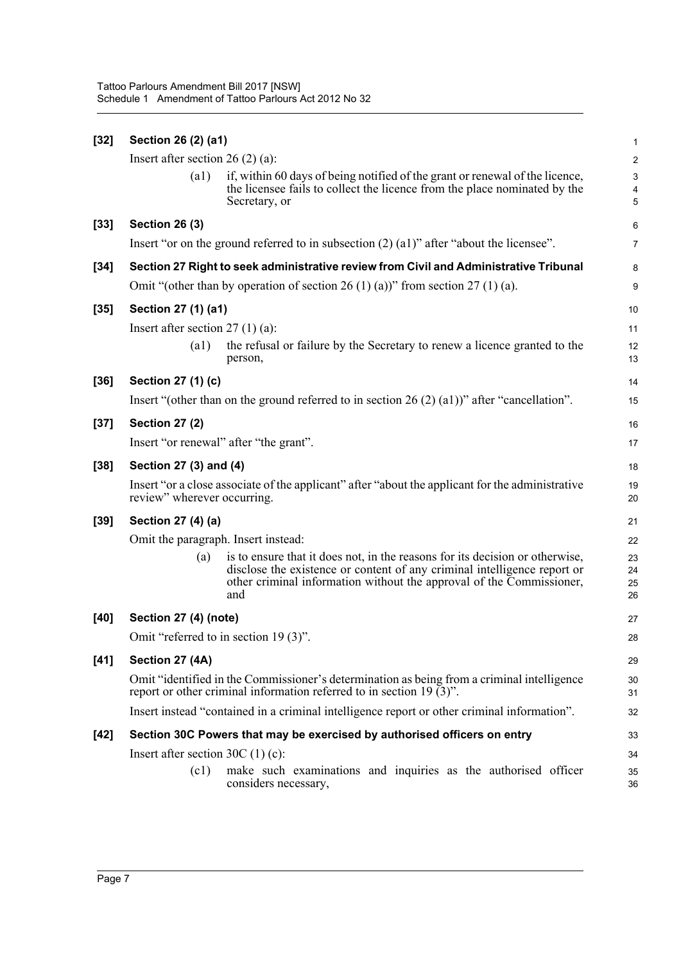| Insert after section 26 $(2)$ (a):                                                                                                                                                                                                             | $\overline{c}$                      |
|------------------------------------------------------------------------------------------------------------------------------------------------------------------------------------------------------------------------------------------------|-------------------------------------|
|                                                                                                                                                                                                                                                |                                     |
| if, within 60 days of being notified of the grant or renewal of the licence,<br>$\left( a1\right)$<br>the licensee fails to collect the licence from the place nominated by the<br>Secretary, or                                               | $\ensuremath{\mathsf{3}}$<br>4<br>5 |
| $[33]$<br><b>Section 26 (3)</b>                                                                                                                                                                                                                | 6                                   |
| Insert "or on the ground referred to in subsection $(2)$ $(2)$ " after "about the licensee".                                                                                                                                                   | 7                                   |
| Section 27 Right to seek administrative review from Civil and Administrative Tribunal<br>$[34]$                                                                                                                                                | 8                                   |
| Omit "(other than by operation of section 26 (1) (a))" from section 27 (1) (a).                                                                                                                                                                | 9                                   |
| Section 27 (1) (a1)<br>$[35]$                                                                                                                                                                                                                  | 10                                  |
| Insert after section $27(1)(a)$ :                                                                                                                                                                                                              | 11                                  |
| the refusal or failure by the Secretary to renew a licence granted to the<br>$\left( a1\right)$<br>person,                                                                                                                                     | 12<br>13                            |
| $[36]$<br>Section 27 (1) (c)                                                                                                                                                                                                                   | 14                                  |
| Insert "(other than on the ground referred to in section 26 (2) (a1))" after "cancellation".                                                                                                                                                   | 15                                  |
| <b>Section 27 (2)</b><br>$[37]$                                                                                                                                                                                                                | 16                                  |
| Insert "or renewal" after "the grant".                                                                                                                                                                                                         | 17                                  |
| Section 27 (3) and (4)<br>$[38]$                                                                                                                                                                                                               | 18                                  |
| Insert "or a close associate of the applicant" after "about the applicant for the administrative<br>review" wherever occurring.                                                                                                                | 19<br>20                            |
| Section 27 (4) (a)<br>$[39]$                                                                                                                                                                                                                   | 21                                  |
| Omit the paragraph. Insert instead:                                                                                                                                                                                                            | 22                                  |
| is to ensure that it does not, in the reasons for its decision or otherwise,<br>(a)<br>disclose the existence or content of any criminal intelligence report or<br>other criminal information without the approval of the Commissioner,<br>and | 23<br>24<br>25<br>26                |
| Section 27 (4) (note)<br>[40]                                                                                                                                                                                                                  | 27                                  |
| Omit "referred to in section 19 (3)".                                                                                                                                                                                                          | 28                                  |
| $[41]$<br>Section 27 (4A)                                                                                                                                                                                                                      | 29                                  |
| Omit "identified in the Commissioner's determination as being from a criminal intelligence<br>report or other criminal information referred to in section 19 $(3)$ ".                                                                          | 30<br>31                            |
| Insert instead "contained in a criminal intelligence report or other criminal information".                                                                                                                                                    | 32                                  |
| Section 30C Powers that may be exercised by authorised officers on entry<br>$[42]$                                                                                                                                                             | 33                                  |
| Insert after section $30C(1)(c)$ :                                                                                                                                                                                                             | 34                                  |
| make such examinations and inquiries as the authorised officer<br>(c1)                                                                                                                                                                         | 35                                  |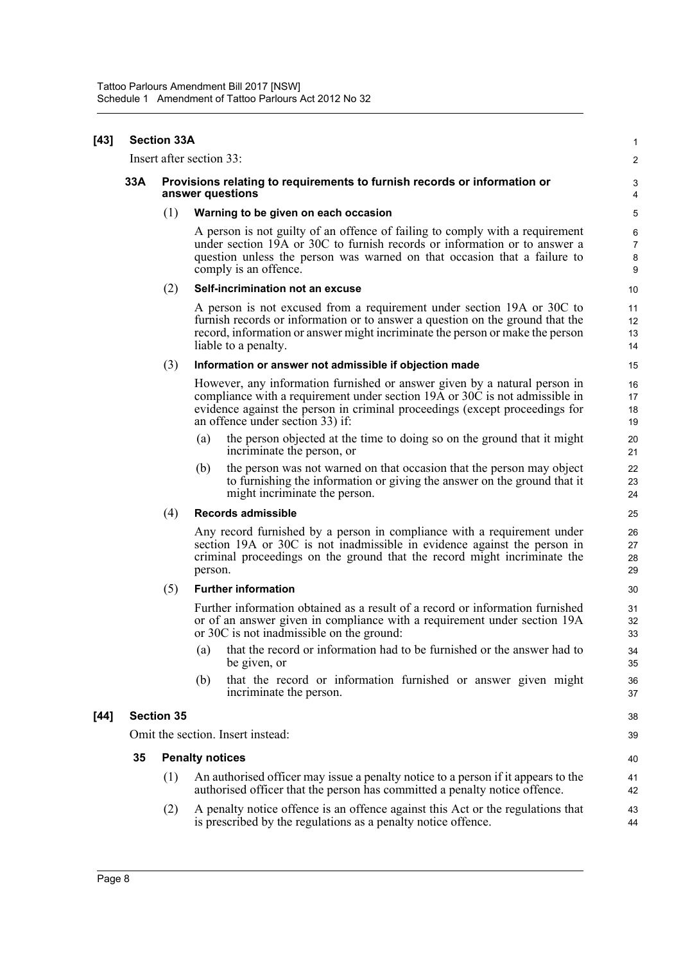| [43] |     | <b>Section 33A</b>                                                                           |                                                                                                                                                                                                                                                                             | 1                             |
|------|-----|----------------------------------------------------------------------------------------------|-----------------------------------------------------------------------------------------------------------------------------------------------------------------------------------------------------------------------------------------------------------------------------|-------------------------------|
|      |     |                                                                                              | Insert after section 33:                                                                                                                                                                                                                                                    | $\overline{2}$                |
|      | 33A | Provisions relating to requirements to furnish records or information or<br>answer questions |                                                                                                                                                                                                                                                                             |                               |
|      |     | (1)                                                                                          | Warning to be given on each occasion                                                                                                                                                                                                                                        | 5                             |
|      |     |                                                                                              | A person is not guilty of an offence of failing to comply with a requirement<br>under section 19A or 30C to furnish records or information or to answer a<br>question unless the person was warned on that occasion that a failure to<br>comply is an offence.              | 6<br>$\overline{7}$<br>8<br>9 |
|      |     | (2)                                                                                          | Self-incrimination not an excuse                                                                                                                                                                                                                                            | 10                            |
|      |     |                                                                                              | A person is not excused from a requirement under section 19A or 30C to<br>furnish records or information or to answer a question on the ground that the<br>record, information or answer might incriminate the person or make the person<br>liable to a penalty.            | 11<br>12<br>13<br>14          |
|      |     | (3)                                                                                          | Information or answer not admissible if objection made                                                                                                                                                                                                                      | 15                            |
|      |     |                                                                                              | However, any information furnished or answer given by a natural person in<br>compliance with a requirement under section 19A or 30C is not admissible in<br>evidence against the person in criminal proceedings (except proceedings for<br>an offence under section 33) if: | 16<br>17<br>18<br>19          |
|      |     |                                                                                              | the person objected at the time to doing so on the ground that it might<br>(a)<br>incriminate the person, or                                                                                                                                                                | 20<br>21                      |
|      |     |                                                                                              | the person was not warned on that occasion that the person may object<br>(b)<br>to furnishing the information or giving the answer on the ground that it<br>might incriminate the person.                                                                                   | 22<br>23<br>24                |
|      |     | (4)                                                                                          | <b>Records admissible</b>                                                                                                                                                                                                                                                   | 25                            |
|      |     |                                                                                              | Any record furnished by a person in compliance with a requirement under<br>section 19A or 30C is not inadmissible in evidence against the person in<br>criminal proceedings on the ground that the record might incriminate the<br>person.                                  | 26<br>27<br>28<br>29          |
|      |     | (5)                                                                                          | <b>Further information</b>                                                                                                                                                                                                                                                  | 30                            |
|      |     |                                                                                              | Further information obtained as a result of a record or information furnished<br>or of an answer given in compliance with a requirement under section 19A<br>or 30C is not inadmissible on the ground:                                                                      | 31<br>32<br>33                |
|      |     |                                                                                              | (a) that the record or information had to be furnished or the answer had to<br>be given, or                                                                                                                                                                                 | 34<br>35                      |
|      |     |                                                                                              | that the record or information furnished or answer given might<br>(b)<br>incriminate the person.                                                                                                                                                                            | 36<br>37                      |
| [44] |     | <b>Section 35</b>                                                                            |                                                                                                                                                                                                                                                                             | 38                            |
|      |     |                                                                                              | Omit the section. Insert instead:                                                                                                                                                                                                                                           | 39                            |
|      | 35  |                                                                                              | <b>Penalty notices</b>                                                                                                                                                                                                                                                      | 40                            |
|      |     | (1)                                                                                          | An authorised officer may issue a penalty notice to a person if it appears to the<br>authorised officer that the person has committed a penalty notice offence.                                                                                                             | 41<br>42                      |
|      |     | (2)                                                                                          | A penalty notice offence is an offence against this Act or the regulations that<br>is prescribed by the regulations as a penalty notice offence.                                                                                                                            | 43<br>44                      |
|      |     |                                                                                              |                                                                                                                                                                                                                                                                             |                               |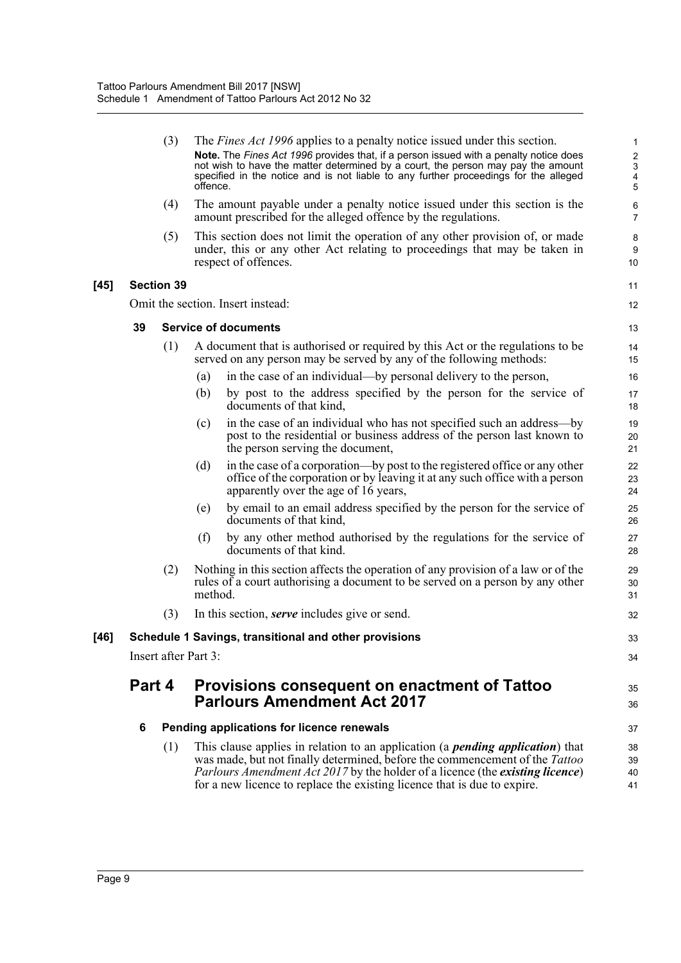|        |        | (3)                  | offence. | The <i>Fines Act 1996</i> applies to a penalty notice issued under this section.<br>Note. The Fines Act 1996 provides that, if a person issued with a penalty notice does<br>not wish to have the matter determined by a court, the person may pay the amount<br>specified in the notice and is not liable to any further proceedings for the alleged | 1<br>$\overline{\mathbf{c}}$<br>3<br>4<br>5 |
|--------|--------|----------------------|----------|-------------------------------------------------------------------------------------------------------------------------------------------------------------------------------------------------------------------------------------------------------------------------------------------------------------------------------------------------------|---------------------------------------------|
|        |        | (4)                  |          | The amount payable under a penalty notice issued under this section is the<br>amount prescribed for the alleged offence by the regulations.                                                                                                                                                                                                           | 6<br>$\overline{7}$                         |
|        |        | (5)                  |          | This section does not limit the operation of any other provision of, or made<br>under, this or any other Act relating to proceedings that may be taken in<br>respect of offences.                                                                                                                                                                     | 8<br>9<br>10                                |
| $[45]$ |        | <b>Section 39</b>    |          |                                                                                                                                                                                                                                                                                                                                                       | 11                                          |
|        |        |                      |          | Omit the section. Insert instead:                                                                                                                                                                                                                                                                                                                     | 12                                          |
|        | 39     |                      |          | <b>Service of documents</b>                                                                                                                                                                                                                                                                                                                           | 13                                          |
|        |        | (1)                  |          | A document that is authorised or required by this Act or the regulations to be<br>served on any person may be served by any of the following methods:                                                                                                                                                                                                 | 14<br>15                                    |
|        |        |                      | (a)      | in the case of an individual—by personal delivery to the person,                                                                                                                                                                                                                                                                                      | 16                                          |
|        |        |                      | (b)      | by post to the address specified by the person for the service of<br>documents of that kind,                                                                                                                                                                                                                                                          | 17<br>18                                    |
|        |        |                      | (c)      | in the case of an individual who has not specified such an address—by<br>post to the residential or business address of the person last known to<br>the person serving the document,                                                                                                                                                                  | 19<br>20<br>21                              |
|        |        |                      | (d)      | in the case of a corporation—by post to the registered office or any other<br>office of the corporation or by leaving it at any such office with a person<br>apparently over the age of 16 years,                                                                                                                                                     | 22<br>23<br>24                              |
|        |        |                      | (e)      | by email to an email address specified by the person for the service of<br>documents of that kind,                                                                                                                                                                                                                                                    | 25<br>26                                    |
|        |        |                      | (f)      | by any other method authorised by the regulations for the service of<br>documents of that kind.                                                                                                                                                                                                                                                       | 27<br>28                                    |
|        |        | (2)                  | method.  | Nothing in this section affects the operation of any provision of a law or of the<br>rules of a court authorising a document to be served on a person by any other                                                                                                                                                                                    | 29<br>30<br>31                              |
|        |        | (3)                  |          | In this section, <i>serve</i> includes give or send.                                                                                                                                                                                                                                                                                                  | 32                                          |
| [46]   |        |                      |          | Schedule 1 Savings, transitional and other provisions                                                                                                                                                                                                                                                                                                 | 33                                          |
|        |        | Insert after Part 3: |          |                                                                                                                                                                                                                                                                                                                                                       | 34                                          |
|        | Part 4 |                      |          | Provisions consequent on enactment of Tattoo<br><b>Parlours Amendment Act 2017</b>                                                                                                                                                                                                                                                                    | 35<br>36                                    |
|        | 6      |                      |          | Pending applications for licence renewals                                                                                                                                                                                                                                                                                                             | 37                                          |
|        |        | (1)                  |          | This clause applies in relation to an application (a <i>pending application</i> ) that<br>was made, but not finally determined, before the commencement of the Tattoo<br><i>Parlours Amendment Act 2017</i> by the holder of a licence (the <i>existing licence</i> )<br>for a new licence to replace the existing licence that is due to expire.     | 38<br>39<br>40<br>41                        |
|        |        |                      |          |                                                                                                                                                                                                                                                                                                                                                       |                                             |